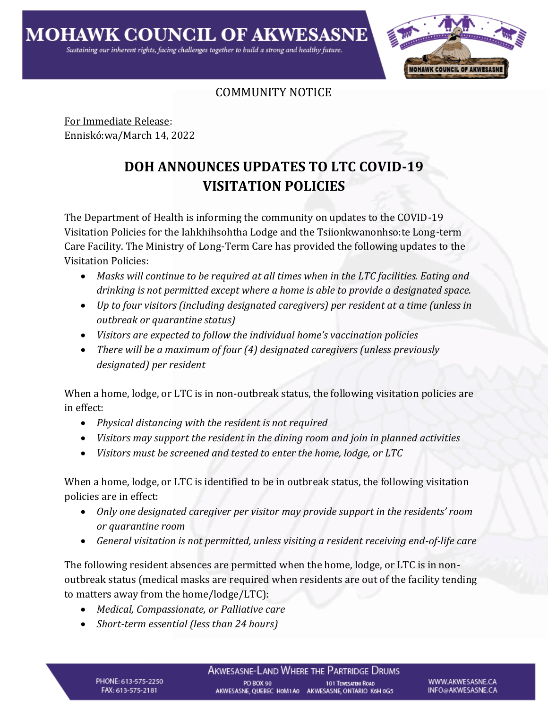

## COMMUNITY NOTICE

For Immediate Release: Enniskó:wa/March 14, 2022

## **DOH ANNOUNCES UPDATES TO LTC COVID-19 VISITATION POLICIES**

The Department of Health is informing the community on updates to the COVID-19 Visitation Policies for the Iahkhihsohtha Lodge and the Tsiionkwanonhso:te Long-term Care Facility. The Ministry of Long-Term Care has provided the following updates to the Visitation Policies:

- *Masks will continue to be required at all times when in the LTC facilities. Eating and drinking is not permitted except where a home is able to provide a designated space.*
- *Up to four visitors (including designated caregivers) per resident at a time (unless in outbreak or quarantine status)*
- *Visitors are expected to follow the individual home's vaccination policies*
- *There will be a maximum of four (4) designated caregivers (unless previously designated) per resident*

When a home, lodge, or LTC is in non-outbreak status, the following visitation policies are in effect:

- *Physical distancing with the resident is not required*
- *Visitors may support the resident in the dining room and join in planned activities*
- *Visitors must be screened and tested to enter the home, lodge, or LTC*

When a home, lodge, or LTC is identified to be in outbreak status, the following visitation policies are in effect:

- *Only one designated caregiver per visitor may provide support in the residents' room or quarantine room*
- *General visitation is not permitted, unless visiting a resident receiving end-of-life care*

The following resident absences are permitted when the home, lodge, or LTC is in nonoutbreak status (medical masks are required when residents are out of the facility tending to matters away from the home/lodge/LTC):

- *Medical, Compassionate, or Palliative care*
- *Short-term essential (less than 24 hours)*